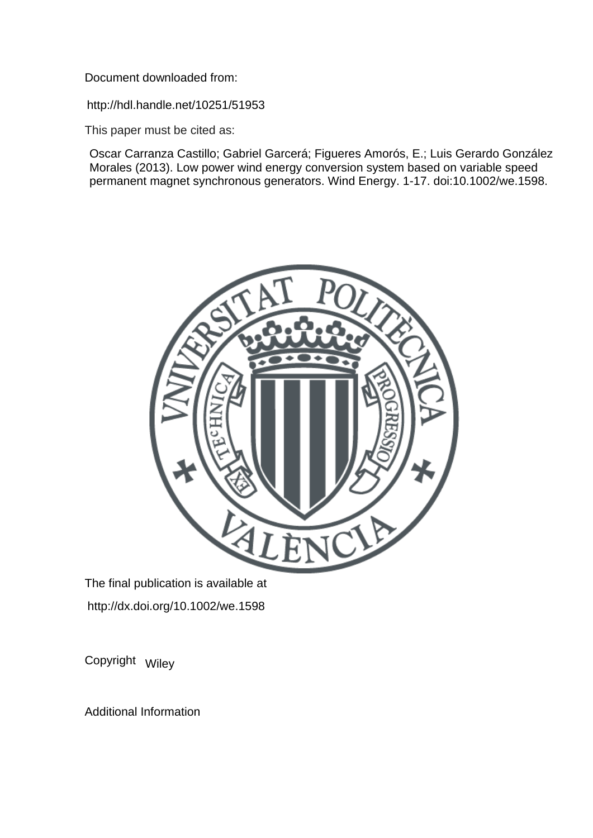Document downloaded from:

http://hdl.handle.net/10251/51953

This paper must be cited as:

Oscar Carranza Castillo; Gabriel Garcerá; Figueres Amorós, E.; Luis Gerardo González Morales (2013). Low power wind energy conversion system based on variable speed permanent magnet synchronous generators. Wind Energy. 1-17. doi:10.1002/we.1598.



The final publication is available at http://dx.doi.org/10.1002/we.1598

Copyright Wiley

Additional Information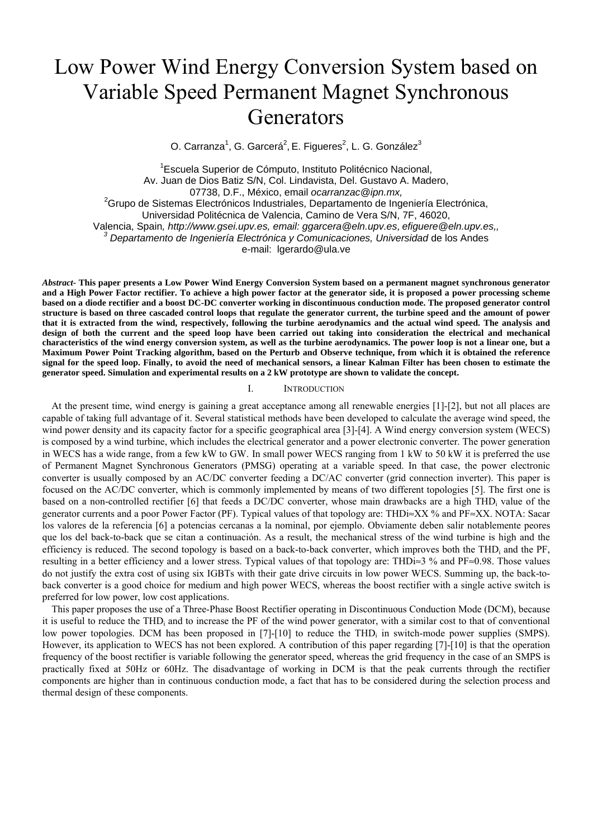# Low Power Wind Energy Conversion System based on Variable Speed Permanent Magnet Synchronous **Generators**

O. Carranza<sup>1</sup>, G. Garcerá<sup>2</sup>, E. Figueres<sup>2</sup>, L. G. González<sup>3</sup>

<sup>1</sup> Escuela Superior de Cómputo, Instituto Politécnico Nacional, Av. Juan de Dios Batiz S/N, Col. Lindavista, Del. Gustavo A. Madero, 07738, D.F., México, email *ocarranzac@ipn.mx,* <sup>2</sup>  ${}^{2}$ Grupo de Sistemas Electrónicos Industriales, Departamento de Ingeniería Electrónica, Universidad Politécnica de Valencia, Camino de Vera S/N, 7F, 46020, Valencia, Spain*, http://www.gsei.upv.es, email: ggarcera@eln.upv.es, efiguere@eln.upv.es,, 3 Departamento de Ingeniería Electrónica y Comunicaciones, Universidad* de los Andes e-mail: lgerardo@ula.ve

*Abstract-* **This paper presents a Low Power Wind Energy Conversion System based on a permanent magnet synchronous generator and a High Power Factor rectifier. To achieve a high power factor at the generator side, it is proposed a power processing scheme based on a diode rectifier and a boost DC-DC converter working in discontinuous conduction mode. The proposed generator control structure is based on three cascaded control loops that regulate the generator current, the turbine speed and the amount of power that it is extracted from the wind, respectively, following the turbine aerodynamics and the actual wind speed. The analysis and design of both the current and the speed loop have been carried out taking into consideration the electrical and mechanical characteristics of the wind energy conversion system, as well as the turbine aerodynamics. The power loop is not a linear one, but a Maximum Power Point Tracking algorithm, based on the Perturb and Observe technique, from which it is obtained the reference signal for the speed loop. Finally, to avoid the need of mechanical sensors, a linear Kalman Filter has been chosen to estimate the generator speed. Simulation and experimental results on a 2 kW prototype are shown to validate the concept.** 

#### I. INTRODUCTION

At the present time, wind energy is gaining a great acceptance among all renewable energies [1]-[2], but not all places are capable of taking full advantage of it. Several statistical methods have been developed to calculate the average wind speed, the wind power density and its capacity factor for a specific geographical area [3]-[4]. A Wind energy conversion system (WECS) is composed by a wind turbine, which includes the electrical generator and a power electronic converter. The power generation in WECS has a wide range, from a few kW to GW. In small power WECS ranging from 1 kW to 50 kW it is preferred the use of Permanent Magnet Synchronous Generators (PMSG) operating at a variable speed. In that case, the power electronic converter is usually composed by an AC/DC converter feeding a DC/AC converter (grid connection inverter). This paper is focused on the AC/DC converter, which is commonly implemented by means of two different topologies [5]. The first one is based on a non-controlled rectifier [6] that feeds a DC/DC converter, whose main drawbacks are a high THD<sub>i</sub> value of the generator currents and a poor Power Factor (PF). Typical values of that topology are: THDi≈XX % and PF≈XX. NOTA: Sacar los valores de la referencia [6] a potencias cercanas a la nominal, por ejemplo. Obviamente deben salir notablemente peores que los del back-to-back que se citan a continuación. As a result, the mechanical stress of the wind turbine is high and the efficiency is reduced. The second topology is based on a back-to-back converter, which improves both the THD<sub>i</sub> and the PF, resulting in a better efficiency and a lower stress. Typical values of that topology are: THDi≈3 % and PF≈0.98. Those values do not justify the extra cost of using six IGBTs with their gate drive circuits in low power WECS. Summing up, the back-toback converter is a good choice for medium and high power WECS, whereas the boost rectifier with a single active switch is preferred for low power, low cost applications.

This paper proposes the use of a Three-Phase Boost Rectifier operating in Discontinuous Conduction Mode (DCM), because it is useful to reduce the THDi and to increase the PF of the wind power generator, with a similar cost to that of conventional low power topologies. DCM has been proposed in  $[7]-[10]$  to reduce the THD<sub>i</sub> in switch-mode power supplies (SMPS). However, its application to WECS has not been explored. A contribution of this paper regarding [7]-[10] is that the operation frequency of the boost rectifier is variable following the generator speed, whereas the grid frequency in the case of an SMPS is practically fixed at 50Hz or 60Hz. The disadvantage of working in DCM is that the peak currents through the rectifier components are higher than in continuous conduction mode, a fact that has to be considered during the selection process and thermal design of these components.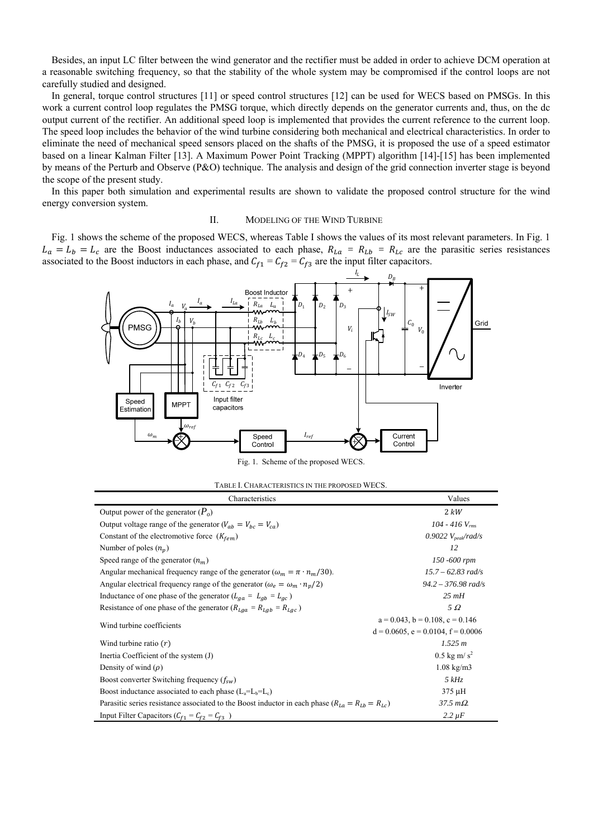Besides, an input LC filter between the wind generator and the rectifier must be added in order to achieve DCM operation at a reasonable switching frequency, so that the stability of the whole system may be compromised if the control loops are not carefully studied and designed.

In general, torque control structures [11] or speed control structures [12] can be used for WECS based on PMSGs. In this work a current control loop regulates the PMSG torque, which directly depends on the generator currents and, thus, on the dc output current of the rectifier. An additional speed loop is implemented that provides the current reference to the current loop. The speed loop includes the behavior of the wind turbine considering both mechanical and electrical characteristics. In order to eliminate the need of mechanical speed sensors placed on the shafts of the PMSG, it is proposed the use of a speed estimator based on a linear Kalman Filter [13]. A Maximum Power Point Tracking (MPPT) algorithm [14]-[15] has been implemented by means of the Perturb and Observe (P&O) technique. The analysis and design of the grid connection inverter stage is beyond the scope of the present study.

In this paper both simulation and experimental results are shown to validate the proposed control structure for the wind energy conversion system.

#### II. MODELING OF THE WIND TURBINE

Fig. 1 shows the scheme of the proposed WECS, whereas Table I shows the values of its most relevant parameters. In Fig. 1  $L_a = L_b = L_c$  are the Boost inductances associated to each phase,  $R_{La} = R_{Lb} = R_{Lc}$  are the parasitic series resistances associated to the Boost inductors in each phase, and  $C_{f1} = C_{f2} = C_{f3}$  are the input filter capacitors.



Fig. 1. Scheme of the proposed WECS

| TABLE I. CHARACTERISTICS IN THE PROPOSED WECS. |  |
|------------------------------------------------|--|
|------------------------------------------------|--|

| Characteristics                                                                                           | Values                                     |
|-----------------------------------------------------------------------------------------------------------|--------------------------------------------|
| Output power of the generator $(P_0)$                                                                     | 2 kW                                       |
| Output voltage range of the generator $(V_{ab} = V_{bc} = V_{ca})$                                        | 104 - 416 $V_{rms}$                        |
| Constant of the electromotive force $(K_{fem})$                                                           | 0.9022 $V_{peak}/rad/s$                    |
| Number of poles $(n_n)$                                                                                   | 12                                         |
| Speed range of the generator $(n_m)$                                                                      | 150 -600 rpm                               |
| Angular mechanical frequency range of the generator ( $\omega_m = \pi \cdot n_m/30$ ).                    | $15.7 - 62.83$ rad/s                       |
| Angular electrical frequency range of the generator ( $\omega_e = \omega_m \cdot n_p/2$ )                 | $94.2 - 376.98$ rad/s                      |
| Inductance of one phase of the generator $(L_{aa} = L_{ab} = L_{ac})$                                     | $25 \, mH$                                 |
| Resistance of one phase of the generator ( $R_{Lqa} = R_{Lab} = R_{Lac}$ )                                | $5\Omega$                                  |
| Wind turbine coefficients                                                                                 | $a = 0.043$ , $b = 0.108$ , $c = 0.146$    |
|                                                                                                           | $d = 0.0605$ , $e = 0.0104$ , $f = 0.0006$ |
| Wind turbine ratio $(r)$                                                                                  | 1.525 m                                    |
| Inertia Coefficient of the system $(J)$                                                                   | $0.5$ kg m/s <sup>2</sup>                  |
| Density of wind $(\rho)$                                                                                  | $1.08 \text{ kg/m}$ 3                      |
| Boost converter Switching frequency $(f_{sw})$                                                            | 5 kHz                                      |
| Boost inductance associated to each phase $(L_a=L_b=L_c)$                                                 | 375 µH                                     |
| Parasitic series resistance associated to the Boost inductor in each phase ( $R_{La} = R_{Lb} = R_{Lc}$ ) | $37.5 \text{ m}\Omega$                     |
| Input Filter Capacitors ( $C_{f1} = C_{f2} = C_{f3}$ )                                                    | $2.2 \mu F$                                |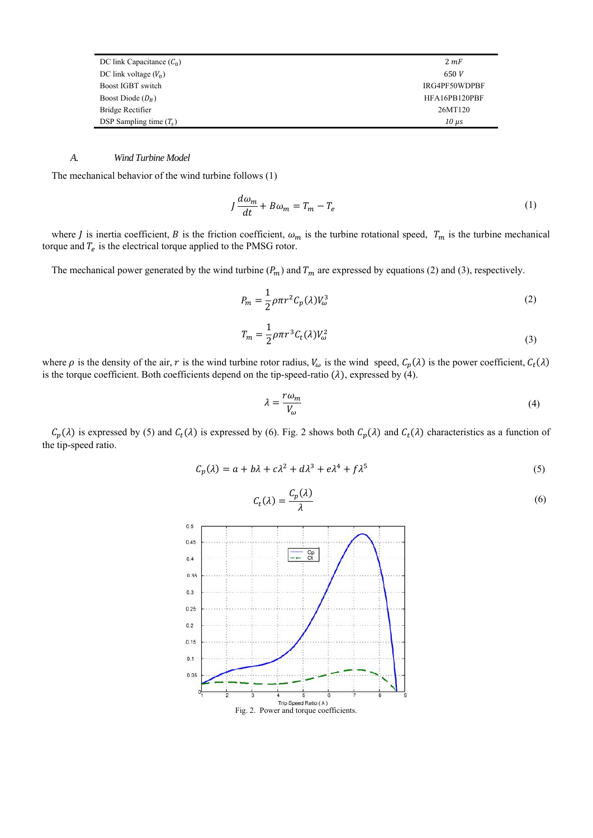| DC link Capacitance $(C_0)$ | 2 mF            |
|-----------------------------|-----------------|
| DC link voltage $(V_0)$     | 650V            |
| Boost IGBT switch           | IRG4PF50WDPBF   |
| Boost Diode $(D_R)$         | HFA16PB120PBF   |
| Bridge Rectifier            | 26MT120         |
| DSP Sampling time $(T_s)$   | $10 \text{ us}$ |

# *A. Wind Turbine Model*

The mechanical behavior of the wind turbine follows (1)

$$
J\frac{d\omega_m}{dt} + B\omega_m = T_m - T_e \tag{1}
$$

where *J* is inertia coefficient, *B* is the friction coefficient,  $\omega_m$  is the turbine rotational speed,  $T_m$  is the turbine mechanical torque and  $T_e$  is the electrical torque applied to the PMSG rotor.

The mechanical power generated by the wind turbine  $(P_m)$  and  $T_m$  are expressed by equations (2) and (3), respectively.

$$
P_m = \frac{1}{2} \rho \pi r^2 C_p(\lambda) V_\omega^3 \tag{2}
$$

$$
T_m = \frac{1}{2} \rho \pi r^3 C_t(\lambda) V_\omega^2 \tag{3}
$$

where  $\rho$  is the density of the air, r is the wind turbine rotor radius,  $V_{\omega}$  is the wind speed,  $C_p(\lambda)$  is the power coefficient,  $C_t(\lambda)$ is the torque coefficient. Both coefficients depend on the tip-speed-ratio  $(\lambda)$ , expressed by  $(4)$ .

$$
\lambda = \frac{r\omega_m}{V_\omega} \tag{4}
$$

 $C_p(\lambda)$  is expressed by (5) and  $C_t(\lambda)$  is expressed by (6). Fig. 2 shows both  $C_p(\lambda)$  and  $C_t(\lambda)$  characteristics as a function of the tip-speed ratio.

$$
C_p(\lambda) = a + b\lambda + c\lambda^2 + d\lambda^3 + e\lambda^4 + f\lambda^5
$$
\n<sup>(5)</sup>



$$
C_t(\lambda) = \frac{C_p(\lambda)}{\lambda} \tag{6}
$$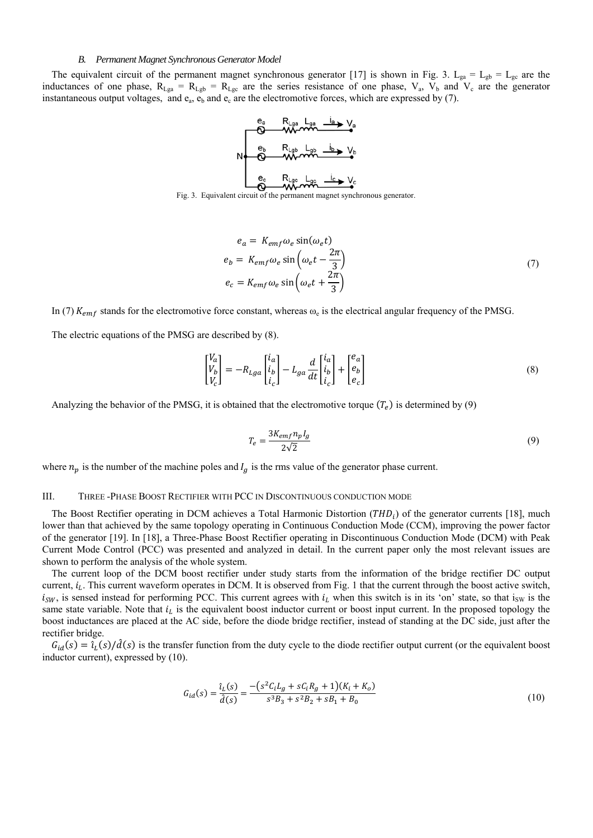#### *B. Permanent Magnet Synchronous Generator Model*

The equivalent circuit of the permanent magnet synchronous generator [17] is shown in Fig. 3. L<sub>ga</sub> = L<sub>gb</sub> = L<sub>gc</sub> are the inductances of one phase,  $R_{Lga} = R_{Lgb} = R_{Lgc}$  are the series resistance of one phase,  $V_a$ ,  $V_b$  and  $V_c$  are the generator instantaneous output voltages, and  $e_a$ ,  $e_b$  and  $e_c$  are the electromotive forces, which are expressed by (7).

$$
N = \begin{array}{c|ccc}\n e_a & R_{\text{Lga}} & L_{\text{ga}} & \underline{i}_a \rightarrow V_a \\
\hline\n e_b & R_{\text{Lgb}} & L_{\text{gb}} & \underline{i}_b \rightarrow V_b \\
\hline\n e_c & \text{Wv} & \underline{i}_c \rightarrow V_c \\
\hline\n 0 & \text{Wv} & \underline{i}_c \rightarrow V_c\n \end{array}
$$

Fig. 3. Equivalent circuit of the permanent magnet synchronous generator.

$$
e_a = K_{emf} \omega_e \sin(\omega_e t)
$$
  
\n
$$
e_b = K_{emf} \omega_e \sin\left(\omega_e t - \frac{2\pi}{3}\right)
$$
  
\n
$$
e_c = K_{emf} \omega_e \sin\left(\omega_e t + \frac{2\pi}{3}\right)
$$
\n(7)

In (7)  $K_{emf}$  stands for the electromotive force constant, whereas  $\omega_e$  is the electrical angular frequency of the PMSG.

The electric equations of the PMSG are described by (8).

$$
\begin{bmatrix} V_a \\ V_b \\ V_c \end{bmatrix} = -R_{Lga} \begin{bmatrix} i_a \\ i_b \\ i_c \end{bmatrix} - L_{ga} \frac{d}{dt} \begin{bmatrix} i_a \\ i_b \\ i_c \end{bmatrix} + \begin{bmatrix} e_a \\ e_b \\ e_c \end{bmatrix}
$$
 (8)

Analyzing the behavior of the PMSG, it is obtained that the electromotive torque  $(T_e)$  is determined by (9)

$$
T_e = \frac{3K_{emf}n_pI_g}{2\sqrt{2}}\tag{9}
$$

where  $n_p$  is the number of the machine poles and  $I_q$  is the rms value of the generator phase current.

# III. THREE -PHASE BOOST RECTIFIER WITH PCC IN DISCONTINUOUS CONDUCTION MODE

The Boost Rectifier operating in DCM achieves a Total Harmonic Distortion  $(THD<sub>i</sub>)$  of the generator currents [18], much lower than that achieved by the same topology operating in Continuous Conduction Mode (CCM), improving the power factor of the generator [19]. In [18], a Three-Phase Boost Rectifier operating in Discontinuous Conduction Mode (DCM) with Peak Current Mode Control (PCC) was presented and analyzed in detail. In the current paper only the most relevant issues are shown to perform the analysis of the whole system.

The current loop of the DCM boost rectifier under study starts from the information of the bridge rectifier DC output current,  $i_L$ . This current waveform operates in DCM. It is observed from Fig. 1 that the current through the boost active switch,  $i_{SW}$ , is sensed instead for performing PCC. This current agrees with  $i_L$  when this switch is in its 'on' state, so that i<sub>SW</sub> is the same state variable. Note that  $i_l$  is the equivalent boost inductor current or boost input current. In the proposed topology the boost inductances are placed at the AC side, before the diode bridge rectifier, instead of standing at the DC side, just after the rectifier bridge.

 $G_{id}(s) = \tilde{i}_L(s)/\tilde{d}(s)$  is the transfer function from the duty cycle to the diode rectifier output current (or the equivalent boost inductor current), expressed by (10).

$$
G_{id}(s) = \frac{\hat{\iota}_L(s)}{\hat{d}(s)} = \frac{-\left(s^2 C_i L_g + s C_i R_g + 1\right)(K_i + K_o)}{s^3 B_3 + s^2 B_2 + s B_1 + B_0}
$$
\n(10)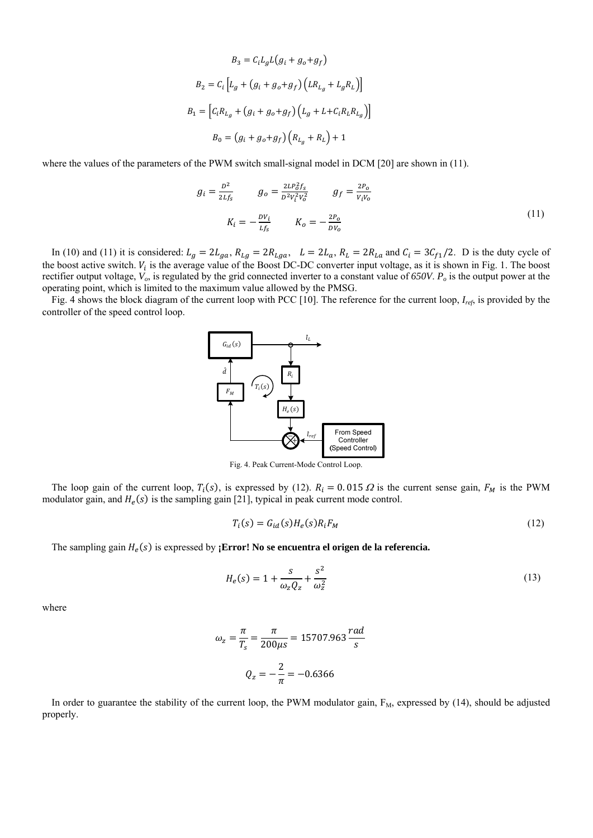$$
B_3 = C_i L_g L(g_i + g_o + g_f)
$$
  
\n
$$
B_2 = C_i \left[ L_g + (g_i + g_o + g_f) (LR_{L_g} + L_g R_L) \right]
$$
  
\n
$$
B_1 = \left[ C_i R_{L_g} + (g_i + g_o + g_f) (L_g + L + C_i R_L R_{L_g}) \right]
$$
  
\n
$$
B_0 = (g_i + g_o + g_f) (R_{L_g} + R_L) + 1
$$

where the values of the parameters of the PWM switch small-signal model in DCM [20] are shown in (11).

$$
g_i = \frac{D^2}{2Lf_s} \qquad g_o = \frac{2LP_0^2 f_s}{D^2 V_i^2 V_o^2} \qquad g_f = \frac{2P_o}{V_i V_o}
$$
  

$$
K_i = -\frac{DV_i}{Lf_s} \qquad K_o = -\frac{2P_o}{DV_o}
$$
 (11)

In (10) and (11) it is considered:  $L_g = 2L_{ga}$ ,  $R_{Lg} = 2R_{Lga}$ ,  $L = 2L_a$ ,  $R_L = 2R_{La}$  and  $C_i = 3C_{f1}/2$ . D is the duty cycle of the boost active switch.  $V_i$  is the average value of the Boost DC-DC converter input voltage, as it is shown in Fig. 1. The boost rectifier output voltage,  $V_o$ , is regulated by the grid connected inverter to a constant value of 650V.  $P_o$  is the output power at the operating point, which is limited to the maximum value allowed by the PMSG.

Fig. 4 shows the block diagram of the current loop with PCC [10]. The reference for the current loop, *Iref*, is provided by the controller of the speed control loop.



Fig. 4. Peak Current-Mode Control Loop.

The loop gain of the current loop,  $T_i(s)$ , is expressed by (12).  $R_i = 0.015 \Omega$  is the current sense gain,  $F_M$  is the PWM modulator gain, and  $H_e(s)$  is the sampling gain [21], typical in peak current mode control.

$$
T_i(s) = G_{id}(s)H_e(s)R_iF_M
$$
\n(12)

The sampling gain  $H_e(s)$  is expressed by **; Error! No se encuentra el origen de la referencia.** 

$$
H_e(s) = 1 + \frac{s}{\omega_z Q_z} + \frac{s^2}{\omega_z^2}
$$
\n<sup>(13)</sup>

where

$$
\omega_z = \frac{\pi}{T_s} = \frac{\pi}{200\mu s} = 15707.963 \frac{rad}{s}
$$

$$
Q_z = -\frac{2}{\pi} = -0.6366
$$

In order to guarantee the stability of the current loop, the PWM modulator gain,  $F_M$ , expressed by (14), should be adjusted properly.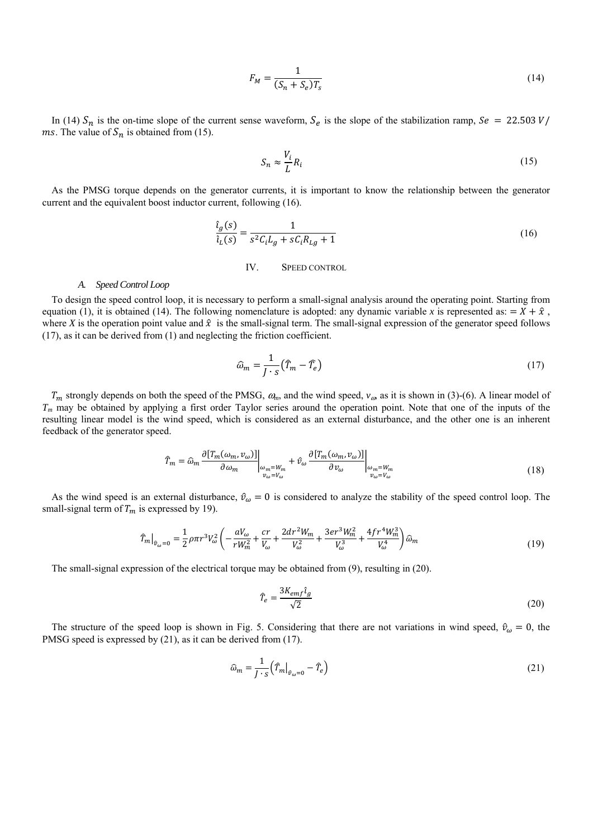$$
F_M = \frac{1}{(S_n + S_e)T_s} \tag{14}
$$

In (14)  $S_n$  is the on-time slope of the current sense waveform,  $S_e$  is the slope of the stabilization ramp,  $\delta e = 22.503 V/m$ *ms*. The value of  $S_n$  is obtained from (15).

$$
S_n \approx \frac{V_i}{L} R_i \tag{15}
$$

As the PMSG torque depends on the generator currents, it is important to know the relationship between the generator current and the equivalent boost inductor current, following (16).

$$
\frac{\hat{\iota}_g(s)}{\hat{\iota}_L(s)} = \frac{1}{s^2 C_i L_g + s C_i R_{Lg} + 1}
$$
\n(16)

IV. SPEED CONTROL

#### *A. Speed Control Loop*

To design the speed control loop, it is necessary to perform a small-signal analysis around the operating point. Starting from equation (1), it is obtained (14). The following nomenclature is adopted: any dynamic variable x is represented as:  $X + \hat{X}$ , where *X* is the operation point value and  $\hat{x}$  is the small-signal term. The small-signal expression of the generator speed follows (17), as it can be derived from (1) and neglecting the friction coefficient.

$$
\widehat{\omega}_m = \frac{1}{J \cdot s} \left( \widehat{T}_m - \widehat{T}_e \right) \tag{17}
$$

 $T_m$  strongly depends on both the speed of the PMSG,  $\omega_m$ , and the wind speed,  $v_{\omega}$ , as it is shown in (3)-(6). A linear model of *Tm* may be obtained by applying a first order Taylor series around the operation point. Note that one of the inputs of the resulting linear model is the wind speed, which is considered as an external disturbance, and the other one is an inherent feedback of the generator speed.

$$
\hat{T}_m = \hat{\omega}_m \frac{\partial \left[T_m(\omega_m, \nu_\omega)\right]}{\partial \omega_m} \bigg|_{\substack{\omega_m = W_m \\ \nu_\omega = V_\omega}} + \hat{\nu}_\omega \frac{\partial \left[T_m(\omega_m, \nu_\omega)\right]}{\partial \nu_\omega} \bigg|_{\substack{\omega_m = W_m \\ \nu_\omega = V_\omega}} \tag{18}
$$

As the wind speed is an external disturbance,  $\hat{v}_{\omega} = 0$  is considered to analyze the stability of the speed control loop. The small-signal term of  $T_m$  is expressed by 19).

$$
\hat{T}_{m}|_{\hat{v}_{\omega}=0} = \frac{1}{2}\rho\pi r^{3}V_{\omega}^{2}\left(-\frac{aV_{\omega}}{rW_{m}^{2}} + \frac{cr}{V_{\omega}} + \frac{2dr^{2}W_{m}}{V_{\omega}^{2}} + \frac{3er^{3}W_{m}^{2}}{V_{\omega}^{3}} + \frac{4fr^{4}W_{m}^{3}}{V_{\omega}^{4}}\right)\hat{\omega}_{m}
$$
\n(19)

The small-signal expression of the electrical torque may be obtained from (9), resulting in (20).

$$
\hat{T}_e = \frac{3K_{emf}\hat{\iota}_g}{\sqrt{2}}\tag{20}
$$

The structure of the speed loop is shown in Fig. 5. Considering that there are not variations in wind speed,  $\hat{v}_{\alpha} = 0$ , the PMSG speed is expressed by (21), as it can be derived from (17).

$$
\widehat{\omega}_m = \frac{1}{J \cdot s} \left( \widehat{T}_m \big|_{\widehat{\nu}_\omega = 0} - \widehat{T}_e \right) \tag{21}
$$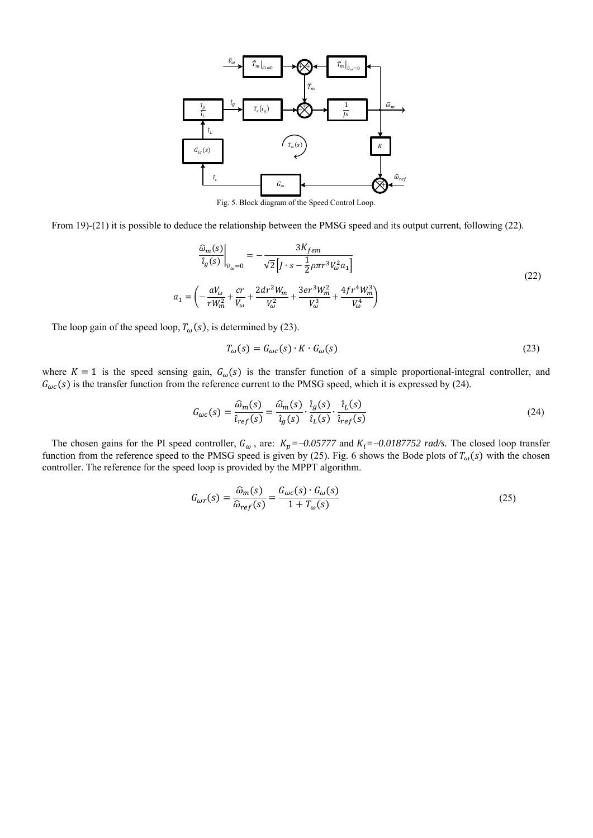

Fig. 5. Block diagram of the Speed Control Loop.

From 19)-(21) it is possible to deduce the relationship between the PMSG speed and its output current, following (22).

$$
\frac{\hat{\omega}_m(s)}{\hat{i}_g(s)}\Big|_{\hat{v}_\omega=0} = -\frac{3K_{fem}}{\sqrt{2}\left[J \cdot s - \frac{1}{2}\rho \pi r^3 V_\omega^2 a_1\right]}
$$
\n
$$
= \left(-\frac{aV_\omega}{rW_m^2} + \frac{cr}{V_\omega} + \frac{2dr^2 W_m}{V_\omega^2} + \frac{3er^3 W_m^2}{V_\omega^3} + \frac{4fr^4 W_m^3}{V_\omega^4}\right)
$$
\n(22)

The loop gain of the speed loop,  $T_{\omega}(s)$ , is determined by (23).

 $a_1$ 

$$
T_{\omega}(s) = G_{\omega c}(s) \cdot K \cdot G_{\omega}(s) \tag{23}
$$

where  $K=1$  is the speed sensing gain,  $G_{\omega}(s)$  is the transfer function of a simple proportional-integral controller, and  $G_{\omega c}(s)$  is the transfer function from the reference current to the PMSG speed, which it is expressed by (24).

$$
G_{\omega c}(s) = \frac{\hat{\omega}_m(s)}{\hat{\iota}_{ref}(s)} = \frac{\hat{\omega}_m(s)}{\hat{\iota}_g(s)} \cdot \frac{\hat{\iota}_g(s)}{\hat{\iota}_L(s)} \cdot \frac{\hat{\iota}_L(s)}{\hat{\iota}_{ref}(s)}
$$
(24)

The chosen gains for the PI speed controller,  $G_{\omega}$ , are:  $K_p = -0.05777$  and  $K_i = -0.0187752$  rad/s. The closed loop transfer function from the reference speed to the PMSG speed is given by (25). Fig. 6 shows the Bode plots of  $T_{\omega}(s)$  with the chosen controller. The reference for the speed loop is provided by the MPPT algorithm.

$$
G_{\omega r}(s) = \frac{\widehat{\omega}_m(s)}{\widehat{\omega}_{ref}(s)} = \frac{G_{\omega c}(s) \cdot G_{\omega}(s)}{1 + T_{\omega}(s)}
$$
(25)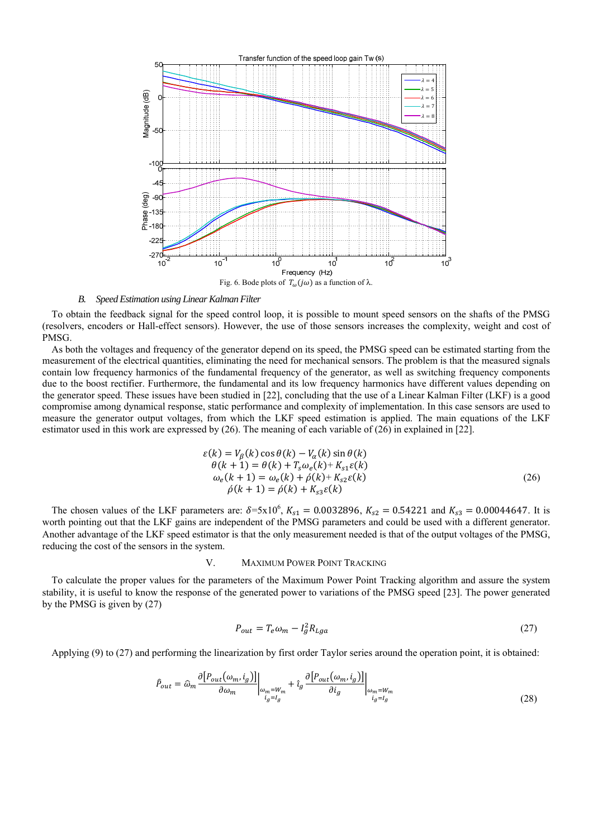

Fig. 6. Bode plots of  $T_{\omega}(j\omega)$  as a function of  $\lambda$ .

# *B. Speed Estimation using Linear Kalman Filter*

To obtain the feedback signal for the speed control loop, it is possible to mount speed sensors on the shafts of the PMSG (resolvers, encoders or Hall-effect sensors). However, the use of those sensors increases the complexity, weight and cost of PMSG.

As both the voltages and frequency of the generator depend on its speed, the PMSG speed can be estimated starting from the measurement of the electrical quantities, eliminating the need for mechanical sensors. The problem is that the measured signals contain low frequency harmonics of the fundamental frequency of the generator, as well as switching frequency components due to the boost rectifier. Furthermore, the fundamental and its low frequency harmonics have different values depending on the generator speed. These issues have been studied in [22], concluding that the use of a Linear Kalman Filter (LKF) is a good compromise among dynamical response, static performance and complexity of implementation. In this case sensors are used to measure the generator output voltages, from which the LKF speed estimation is applied. The main equations of the LKF estimator used in this work are expressed by (26). The meaning of each variable of (26) in explained in [22].

$$
\varepsilon(k) = V_{\beta}(k) \cos \theta(k) - V_{\alpha}(k) \sin \theta(k)
$$
  
\n
$$
\theta(k+1) = \theta(k) + T_{s} \omega_{e}(k) + K_{s1} \varepsilon(k)
$$
  
\n
$$
\omega_{e}(k+1) = \omega_{e}(k) + \hat{\rho}(k) + K_{s2} \varepsilon(k)
$$
  
\n
$$
\hat{\rho}(k+1) = \hat{\rho}(k) + K_{s3} \varepsilon(k)
$$
\n(26)

The chosen values of the LKF parameters are:  $\delta = 5x10^6$ ,  $K_{s1} = 0.0032896$ ,  $K_{s2} = 0.54221$  and  $K_{s3} = 0.00044647$ . It is worth pointing out that the LKF gains are independent of the PMSG parameters and could be used with a different generator. Another advantage of the LKF speed estimator is that the only measurement needed is that of the output voltages of the PMSG, reducing the cost of the sensors in the system.

# V. MAXIMUM POWER POINT TRACKING

To calculate the proper values for the parameters of the Maximum Power Point Tracking algorithm and assure the system stability, it is useful to know the response of the generated power to variations of the PMSG speed [23]. The power generated by the PMSG is given by (27)

$$
P_{out} = T_e \omega_m - I_g^2 R_{Lga} \tag{27}
$$

Applying (9) to (27) and performing the linearization by first order Taylor series around the operation point, it is obtained:

$$
\hat{P}_{out} = \hat{\omega}_m \frac{\partial [P_{out}(\omega_m, i_g)]}{\partial \omega_m} \bigg|_{\substack{\omega_m = W_m \\ i_g = I_g}} + \hat{i}_g \frac{\partial [P_{out}(\omega_m, i_g)]}{\partial i_g} \bigg|_{\substack{\omega_m = W_m \\ i_g = I_g}} \tag{28}
$$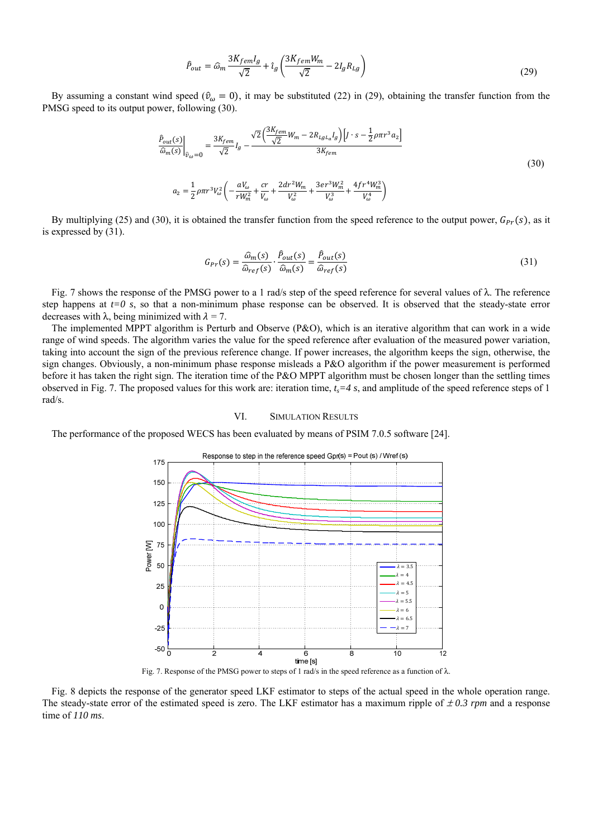$$
\hat{P}_{out} = \hat{\omega}_m \frac{3K_{fem}I_g}{\sqrt{2}} + \hat{\iota}_g \left( \frac{3K_{fem}W_m}{\sqrt{2}} - 2I_g R_{Lg} \right) \tag{29}
$$

By assuming a constant wind speed ( $\hat{v}_{\omega} = 0$ ), it may be substituted (22) in (29), obtaining the transfer function from the PMSG speed to its output power, following (30).

$$
\frac{\hat{P}_{out}(s)}{\hat{\omega}_m(s)}\bigg|_{\hat{v}_{\omega}=0} = \frac{3K_{fem}}{\sqrt{2}}I_g - \frac{\sqrt{2}\left(\frac{3K_{fem}}{\sqrt{2}}W_m - 2R_{Lgl_a}I_g\right)\left[J \cdot s - \frac{1}{2}\rho\pi r^3 a_2\right]}{3K_{fem}}
$$
\n
$$
a_2 = \frac{1}{2}\rho\pi r^3 V_{\omega}^2 \left(-\frac{aV_{\omega}}{rW_m^2} + \frac{cr}{V_{\omega}} + \frac{2dr^2W_m}{V_{\omega}^2} + \frac{3er^3W_m^2}{V_{\omega}^3} + \frac{4fr^4W_m^3}{V_{\omega}^4}\right)
$$
\n(30)

By multiplying (25) and (30), it is obtained the transfer function from the speed reference to the output power,  $G_{Pr}(s)$ , as it is expressed by (31).

$$
G_{Pr}(s) = \frac{\widehat{\omega}_m(s)}{\widehat{\omega}_{ref}(s)} \cdot \frac{\widehat{P}_{out}(s)}{\widehat{\omega}_m(s)} = \frac{\widehat{P}_{out}(s)}{\widehat{\omega}_{ref}(s)}
$$
(31)

Fig. 7 shows the response of the PMSG power to a 1 rad/s step of the speed reference for several values of  $\lambda$ . The reference step happens at  $t=0$  s, so that a non-minimum phase response can be observed. It is observed that the steady-state error decreases with  $\lambda$ , being minimized with  $\lambda = 7$ .

The implemented MPPT algorithm is Perturb and Observe (P&O), which is an iterative algorithm that can work in a wide range of wind speeds. The algorithm varies the value for the speed reference after evaluation of the measured power variation, taking into account the sign of the previous reference change. If power increases, the algorithm keeps the sign, otherwise, the sign changes. Obviously, a non-minimum phase response misleads a P&O algorithm if the power measurement is performed before it has taken the right sign. The iteration time of the P&O MPPT algorithm must be chosen longer than the settling times observed in Fig. 7. The proposed values for this work are: iteration time,  $t_s = 4 s$ , and amplitude of the speed reference steps of 1 rad/s.

# VI. SIMULATION RESULTS

The performance of the proposed WECS has been evaluated by means of PSIM 7.0.5 software [24].



Fig. 7. Response of the PMSG power to steps of 1 rad/s in the speed reference as a function of λ.

Fig. 8 depicts the response of the generator speed LKF estimator to steps of the actual speed in the whole operation range. The steady-state error of the estimated speed is zero. The LKF estimator has a maximum ripple of  $\pm 0.3$  rpm and a response time of *110 ms*.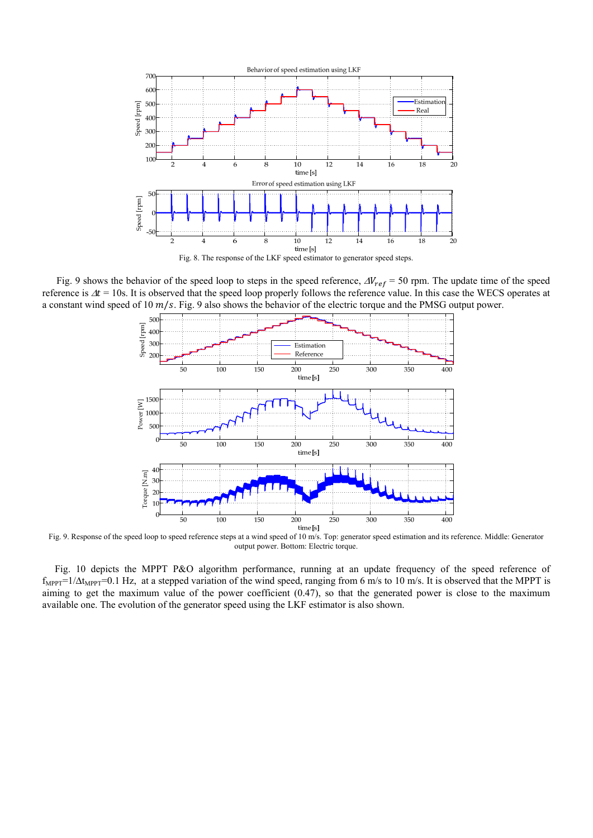

Fig. 9 shows the behavior of the speed loop to steps in the speed reference,  $\Delta V_{ref} = 50$  rpm. The update time of the speed reference is  $\Delta t = 10$ s. It is observed that the speed loop properly follows the reference value. In this case the WECS operates at a constant wind speed of 10  $m/s$ . Fig. 9 also shows the behavior of the electric torque and the PMSG output power.



Fig. 9. Response of the speed loop to speed reference steps at a wind speed of 10 m/s. Top: generator speed estimation and its reference. Middle: Generator output power. Bottom: Electric torque.

 Fig. 10 depicts the MPPT P&O algorithm performance, running at an update frequency of the speed reference of  $f_{MPPT}=1/\Delta t_{MPPT}=0.1$  Hz, at a stepped variation of the wind speed, ranging from 6 m/s to 10 m/s. It is observed that the MPPT is aiming to get the maximum value of the power coefficient (0.47), so that the generated power is close to the maximum available one. The evolution of the generator speed using the LKF estimator is also shown.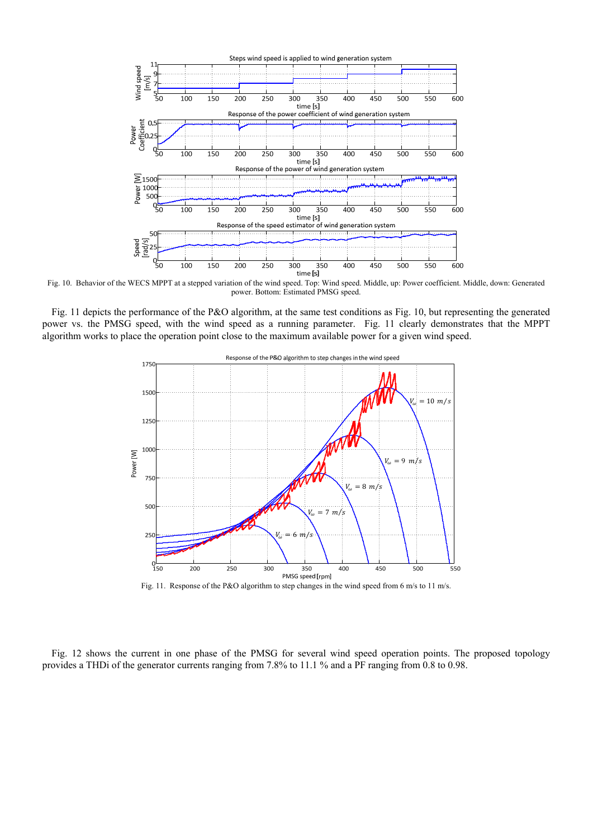

Fig. 10. Behavior of the WECS MPPT at a stepped variation of the wind speed. Top: Wind speed. Middle, up: Power coefficient. Middle, down: Generated power. Bottom: Estimated PMSG speed.

Fig. 11 depicts the performance of the P&O algorithm, at the same test conditions as Fig. 10, but representing the generated power vs. the PMSG speed, with the wind speed as a running parameter. Fig. 11 clearly demonstrates that the MPPT algorithm works to place the operation point close to the maximum available power for a given wind speed.



Fig. 11. Response of the P&O algorithm to step changes in the wind speed from 6 m/s to 11 m/s.

Fig. 12 shows the current in one phase of the PMSG for several wind speed operation points. The proposed topology provides a THDi of the generator currents ranging from 7.8% to 11.1 % and a PF ranging from 0.8 to 0.98.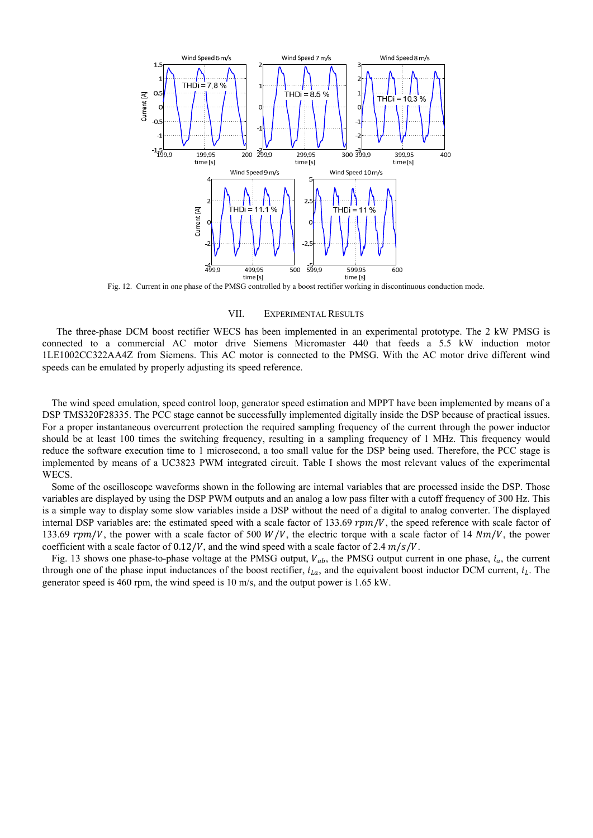

Fig. 12. Current in one phase of the PMSG controlled by a boost rectifier working in discontinuous conduction mode.

## VII. EXPERIMENTAL RESULTS

The three-phase DCM boost rectifier WECS has been implemented in an experimental prototype. The 2 kW PMSG is connected to a commercial AC motor drive Siemens Micromaster 440 that feeds a 5.5 kW induction motor 1LE1002CC322AA4Z from Siemens. This AC motor is connected to the PMSG. With the AC motor drive different wind speeds can be emulated by properly adjusting its speed reference.

The wind speed emulation, speed control loop, generator speed estimation and MPPT have been implemented by means of a DSP TMS320F28335. The PCC stage cannot be successfully implemented digitally inside the DSP because of practical issues. For a proper instantaneous overcurrent protection the required sampling frequency of the current through the power inductor should be at least 100 times the switching frequency, resulting in a sampling frequency of 1 MHz. This frequency would reduce the software execution time to 1 microsecond, a too small value for the DSP being used. Therefore, the PCC stage is implemented by means of a UC3823 PWM integrated circuit. Table I shows the most relevant values of the experimental WECS.

Some of the oscilloscope waveforms shown in the following are internal variables that are processed inside the DSP. Those variables are displayed by using the DSP PWM outputs and an analog a low pass filter with a cutoff frequency of 300 Hz. This is a simple way to display some slow variables inside a DSP without the need of a digital to analog converter. The displayed internal DSP variables are: the estimated speed with a scale factor of 133.69  $rpm/V$ , the speed reference with scale factor of 133.69  $rpm/V$ , the power with a scale factor of 500  $W/V$ , the electric torque with a scale factor of 14  $Nm/V$ , the power coefficient with a scale factor of  $0.12/V$ , and the wind speed with a scale factor of 2.4  $m/s/V$ .

Fig. 13 shows one phase-to-phase voltage at the PMSG output,  $V_{ab}$ , the PMSG output current in one phase,  $i_a$ , the current through one of the phase input inductances of the boost rectifier,  $i_{La}$ , and the equivalent boost inductor DCM current,  $i_L$ . The generator speed is 460 rpm, the wind speed is 10 m/s, and the output power is 1.65 kW.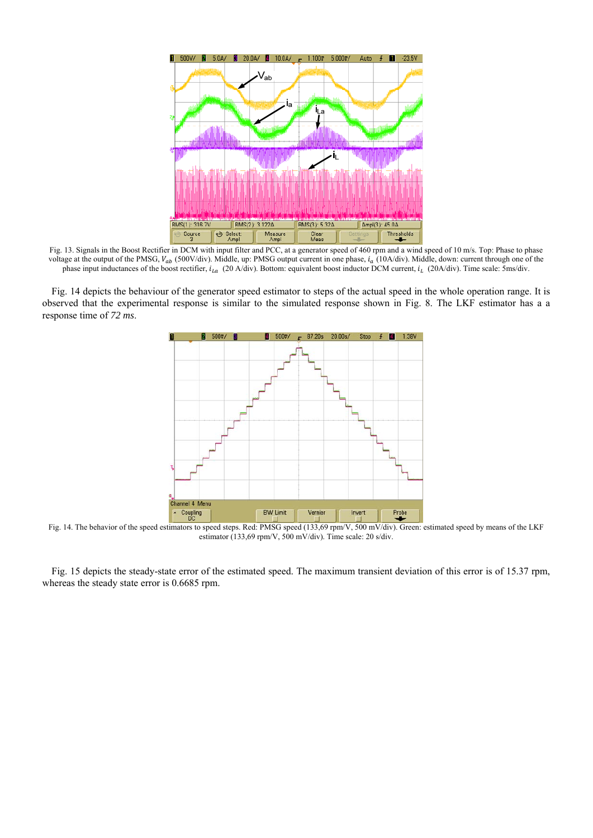

Fig. 13. Signals in the Boost Rectifier in DCM with input filter and PCC, at a generator speed of 460 rpm and a wind speed of 10 m/s. Top: Phase to phase voltage at the output of the PMSG,  $V_{ab}$  (500V/div). Middle, up: PMSG output current in one phase,  $i_a$  (10A/div). Middle, down: current through one of the phase input inductances of the boost rectifier,  $i_{La}$  (20 A/div). Bottom: equivalent boost inductor DCM current,  $i_L$  (20A/div). Time scale: 5ms/div.

Fig. 14 depicts the behaviour of the generator speed estimator to steps of the actual speed in the whole operation range. It is observed that the experimental response is similar to the simulated response shown in Fig. 8. The LKF estimator has a a response time of *72 ms*.



Fig. 14. The behavior of the speed estimators to speed steps. Red: PMSG speed (133,69 rpm/V, 500 mV/div). Green: estimated speed by means of the LKF estimator (133,69 rpm/V, 500 mV/div). Time scale: 20 s/div.

Fig. 15 depicts the steady-state error of the estimated speed. The maximum transient deviation of this error is of 15.37 rpm, whereas the steady state error is 0.6685 rpm.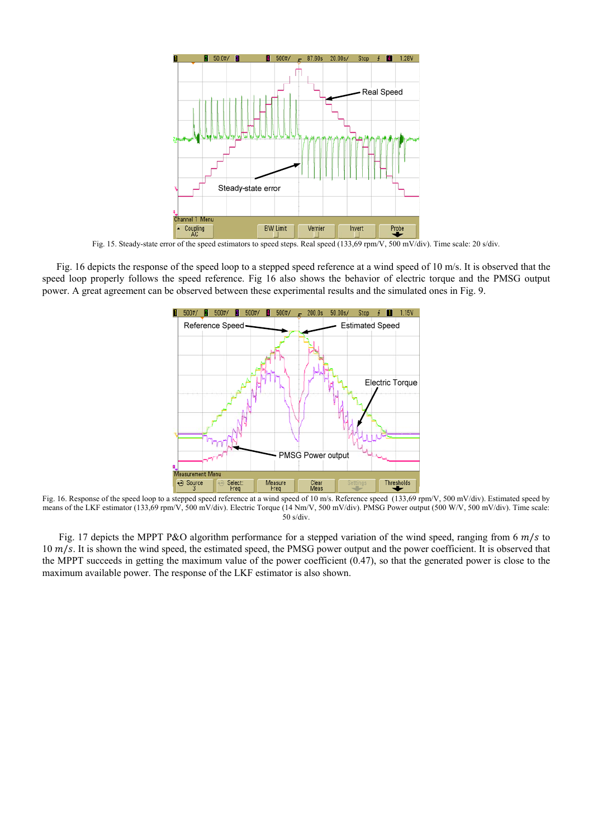

Fig. 15. Steady-state error of the speed estimators to speed steps. Real speed (133,69 rpm/V, 500 mV/div). Time scale: 20 s/div.

Fig. 16 depicts the response of the speed loop to a stepped speed reference at a wind speed of 10 m/s. It is observed that the speed loop properly follows the speed reference. Fig 16 also shows the behavior of electric torque and the PMSG output power. A great agreement can be observed between these experimental results and the simulated ones in Fig. 9.



Fig. 16. Response of the speed loop to a stepped speed reference at a wind speed of 10 m/s. Reference speed (133,69 rpm/V, 500 mV/div). Estimated speed by means of the LKF estimator (133,69 rpm/V, 500 mV/div). Electric Torque (14 Nm/V, 500 mV/div). PMSG Power output (500 W/V, 500 mV/div). Time scale:  $50$  s/div.

Fig. 17 depicts the MPPT P&O algorithm performance for a stepped variation of the wind speed, ranging from 6  $m/s$  to  $10 \, m/s$ . It is shown the wind speed, the estimated speed, the PMSG power output and the power coefficient. It is observed that the MPPT succeeds in getting the maximum value of the power coefficient (0.47), so that the generated power is close to the maximum available power. The response of the LKF estimator is also shown.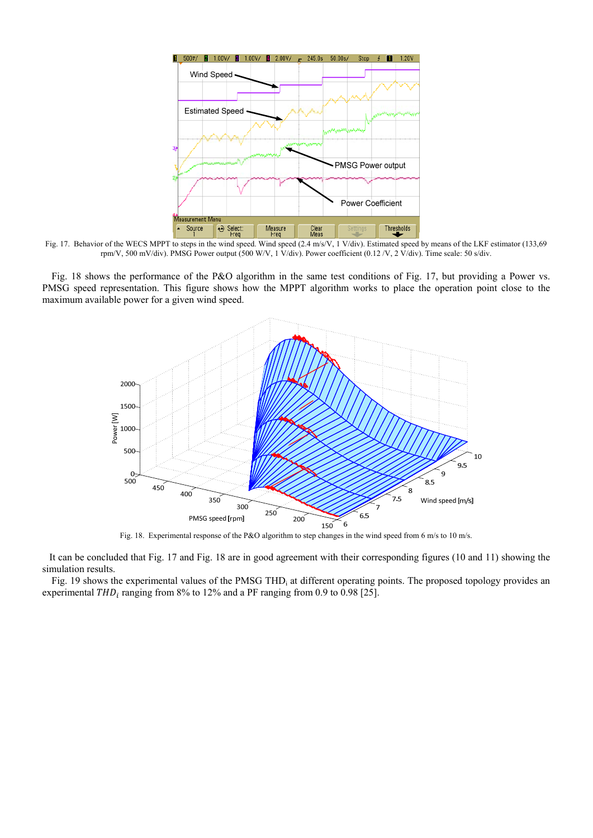

Fig. 17. Behavior of the WECS MPPT to steps in the wind speed. Wind speed (2.4 m/s/V, 1 V/div). Estimated speed by means of the LKF estimator (133,69 rpm/V, 500 mV/div). PMSG Power output (500 W/V, 1 V/div). Power coefficient (0.12 /V, 2 V/div). Time scale: 50 s/div.

Fig. 18 shows the performance of the P&O algorithm in the same test conditions of Fig. 17, but providing a Power vs. PMSG speed representation. This figure shows how the MPPT algorithm works to place the operation point close to the maximum available power for a given wind speed.



Fig. 18. Experimental response of the P&O algorithm to step changes in the wind speed from 6 m/s to 10 m/s.

It can be concluded that Fig. 17 and Fig. 18 are in good agreement with their corresponding figures (10 and 11) showing the simulation results.

Fig. 19 shows the experimental values of the PMSG THD<sub>i</sub> at different operating points. The proposed topology provides an experimental  $THD<sub>i</sub>$  ranging from 8% to 12% and a PF ranging from 0.9 to 0.98 [25].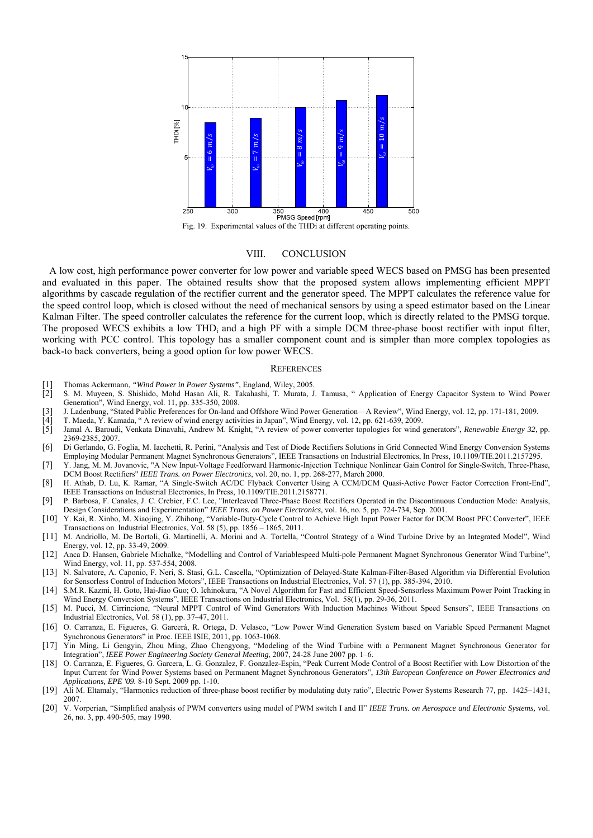

VIII. CONCLUSION

A low cost, high performance power converter for low power and variable speed WECS based on PMSG has been presented and evaluated in this paper. The obtained results show that the proposed system allows implementing efficient MPPT algorithms by cascade regulation of the rectifier current and the generator speed. The MPPT calculates the reference value for the speed control loop, which is closed without the need of mechanical sensors by using a speed estimator based on the Linear Kalman Filter. The speed controller calculates the reference for the current loop, which is directly related to the PMSG torque. The proposed WECS exhibits a low THD<sub>i</sub> and a high PF with a simple DCM three-phase boost rectifier with input filter, working with PCC control. This topology has a smaller component count and is simpler than more complex topologies as back-to back converters, being a good option for low power WECS.

#### **REFERENCES**

- [1] Thomas Ackermann, *"Wind Power in Power Systems",* England, Wiley, 2005.
- [2] S. M. Muyeen, S. Shishido, Mohd Hasan Ali, R. Takahashi, T. Murata, J. Tamusa, " Application of Energy Capacitor System to Wind Power Generation", Wind Energy, vol. 11, pp. 335-350, 2008.
- 
- [4] T. Maeda, Y. Kamada, " A review of wind energy activities in Japan", Wind Energy, vol. 12, pp. 621-639, 2009.
- [3] J. Ladenbung, "Stated Public Preferences for On-land and Offshore Wind Power Generation—A Review", Wind Energy, vol. 12, pp. 171-181, 2009.<br>[4] T. Maeda, Y. Kamada, "A review of wind energy activities in Japan", Wind E [5] Jamal A. Baroudi, Venkata Dinavahi, Andrew M. Knight, "A review of power converter topologies for wind generators", *Renewable Energy 32*, pp. 2369-2385, 2007.
- [6] Di Gerlando, G. Foglia, M. Iacchetti, R. Perini, "Analysis and Test of Diode Rectifiers Solutions in Grid Connected Wind Energy Conversion Systems Employing Modular Permanent Magnet Synchronous Generators", IEEE Transactions on Industrial Electronics, In Press, 10.1109/TIE.2011.2157295.
- [7] Y. Jang, M. M. Jovanovic, "A New Input-Voltage Feedforward Harmonic-Injection Technique Nonlinear Gain Control for Single-Switch, Three-Phase, DCM Boost Rectifiers" *IEEE Trans. on Power Electronics*, vol. 20, no. 1, pp. 268-277, March 2000.
- [8] H. Athab, D. Lu, K. Ramar, "A Single-Switch AC/DC Flyback Converter Using A CCM/DCM Quasi-Active Power Factor Correction Front-End", IEEE Transactions on Industrial Electronics, In Press, 10.1109/TIE.2011.2158771.
- [9] P. Barbosa, F. Canales, J. C. Crebier, F.C. Lee, "Interleaved Three-Phase Boost Rectifiers Operated in the Discontinuous Conduction Mode: Analysis, Design Considerations and Experimentation" *IEEE Trans. on Power Electronics,* vol. 16, no. 5, pp. 724-734, Sep. 2001.
- [10] Y. Kai, R. Xinbo, M. Xiaojing, Y. Zhihong, "Variable-Duty-Cycle Control to Achieve High Input Power Factor for DCM Boost PFC Converter", IEEE Transactions on Industrial Electronics, Vol. 58 (5), pp. 1856 – 1865, 2011.
- [11] M. Andriollo, M. De Bortoli, G. Martinelli, A. Morini and A. Tortella, "Control Strategy of a Wind Turbine Drive by an Integrated Model", Wind Energy, vol. 12, pp. 33-49, 2009.
- [12] Anca D. Hansen, Gabriele Michalke, "Modelling and Control of Variablespeed Multi-pole Permanent Magnet Synchronous Generator Wind Turbine", Wind Energy, vol. 11, pp. 537-554, 2008.
- [13] N. Salvatore, A. Caponio, F. Neri, S. Stasi, G.L. Cascella, "Optimization of Delayed-State Kalman-Filter-Based Algorithm via Differential Evolution for Sensorless Control of Induction Motors", IEEE Transactions on Industrial Electronics, Vol. 57 (1), pp. 385-394, 2010.
- [14] S.M.R. Kazmi, H. Goto, Hai-Jiao Guo; O. Ichinokura, "A Novel Algorithm for Fast and Efficient Speed-Sensorless Maximum Power Point Tracking in Wind Energy Conversion Systems", IEEE Transactions on Industrial Electronics, Vol. 58(1), pp. 29-36, 2011.
- [15] M. Pucci, M. Cirrincione, "Neural MPPT Control of Wind Generators With Induction Machines Without Speed Sensors", IEEE Transactions on Industrial Electronics, Vol. 58 (1), pp. 37–47, 2011.
- [16] O. Carranza, E. Figueres, G. Garcerá, R. Ortega, D. Velasco, "Low Power Wind Generation System based on Variable Speed Permanent Magnet Synchronous Generators" in Proc. IEEE ISIE, 2011, pp. 1063-1068.<br>[17] Yin Ming, Li Gengyin, Zhou Ming, Zhao Chengyong, "Modeling of the Wind Turbine with a Permanent Magnet Synchronous Generator for
- Integration", *IEEE Power Engineering Society General Meeting*, 2007, 24-28 June 2007 pp. 1–6.
- [18] O. Carranza, E. Figueres, G. Garcera, L. G. Gonzalez, F. Gonzalez-Espin, "Peak Current Mode Control of a Boost Rectifier with Low Distortion of the Input Current for Wind Power Systems based on Permanent Magnet Synchronous Generators", *13th European Conference on Power Electronics and Applications, EPE '09.* 8-10 Sept. 2009 pp. 1-10.
- [19] Ali M. Eltamaly, "Harmonics reduction of three-phase boost rectifier by modulating duty ratio", Electric Power Systems Research 77, pp. 1425–1431, 2007.
- [20] V. Vorperian, "Simplified analysis of PWM converters using model of PWM switch I and II" *IEEE Trans. on Aerospace and Electronic Systems,* vol. 26, no. 3, pp. 490-505, may 1990.